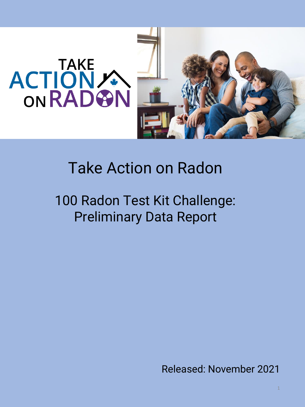

# Take Action on Radon

100 Radon Test Kit Challenge: Preliminary Data Report

Released: November 2021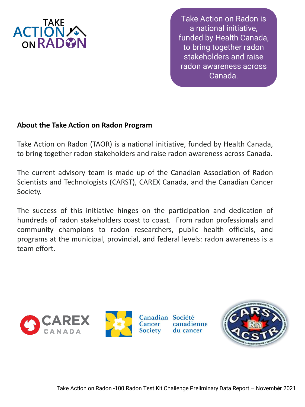

Take Action on Radon is a national initiative, funded by Health Canada, to bring together radon stakeholders and raise radon awareness across Canada.

## **About the Take Action on Radon Program**

Take Action on Radon (TAOR) is a national initiative, funded by Health Canada, to bring together radon stakeholders and raise radon awareness across Canada.

The current advisory team is made up of the Canadian Association of Radon Scientists and Technologists (CARST), CAREX Canada, and the Canadian Cancer Society.

The success of this initiative hinges on the participation and dedication of hundreds of radon stakeholders coast to coast. From radon professionals and community champions to radon researchers, public health officials, and programs at the municipal, provincial, and federal levels: radon awareness is a team effort.

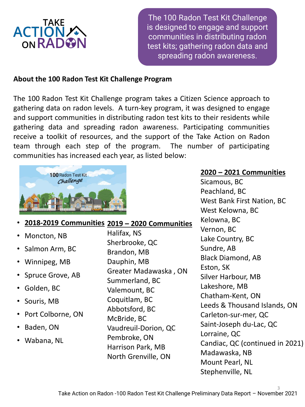

The 100 Radon Test Kit Challenge is designed to engage and support communities in distributing radon test kits; gathering radon data and spreading radon awareness.

#### **About the 100 Radon Test Kit Challenge Program**

The 100 Radon Test Kit Challenge program takes a Citizen Science approach to gathering data on radon levels. A turn-key program, it was designed to engage and support communities in distributing radon test kits to their residents while gathering data and spreading radon awareness. Participating communities receive a toolkit of resources, and the support of the Take Action on Radon team through each step of the program. The number of participating communities has increased each year, as listed below:



#### **2020 – 2021 Communities**

Sicamous, BC Peachland, BC West Bank First Nation, BC West Kelowna, BC Kelowna, BC Vernon, BC Lake Country, BC Sundre, AB Black Diamond, AB Eston, SK Silver Harbour, MB Lakeshore, MB Chatham-Kent, ON Leeds & Thousand Islands, ON Carleton-sur-mer, QC Saint-Joseph du-Lac, QC Lorraine, QC Candiac, QC (continued in 2021) Madawaska, NB Mount Pearl, NL Stephenville, NL

## • **2018-2019 Communities 2019 – 2020 Communities**

- Moncton, NB
- Salmon Arm, BC
- Winnipeg, MB
- Spruce Grove, AB
- Golden, BC
- Souris, MB
- Port Colborne, ON
- Baden, ON
- Wabana, NL

Halifax, NS Sherbrooke, QC Brandon, MB Dauphin, MB Greater Madawaska , ON Summerland, BC Valemount, BC Coquitlam, BC Abbotsford, BC McBride, BC Vaudreuil-Dorion, QC Pembroke, ON Harrison Park, MB North Grenville, ON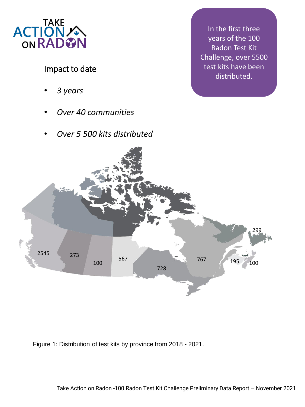

# Impact to date

- *3 years*
- *Over 40 communities*
- *Over 5 500 kits distributed*

In the first three years of the 100 Radon Test Kit Challenge, over 5500 test kits have been distributed.



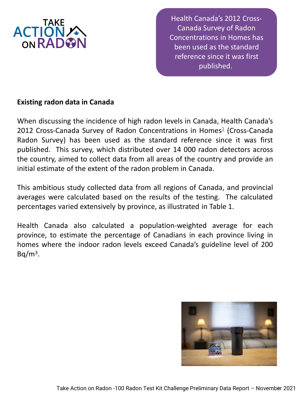

Health Canada's 2012 Cross-Canada Survey of Radon Concentrations in Homes has been used as the standard reference since it was first published.

## **Existing radon data in Canada**

When discussing the incidence of high radon levels in Canada, Health Canada's 20[1](#page-18-0)2 Cross-Canada Survey of Radon Concentrations in Homes<sup>1</sup> (Cross-Canada Radon Survey) has been used as the standard reference since it was first published. This survey, which distributed over 14 000 radon detectors across the country, aimed to collect data from all areas of the country and provide an initial estimate of the extent of the radon problem in Canada.

This ambitious study collected data from all regions of Canada, and provincial averages were calculated based on the results of the testing. The calculated percentages varied extensively by province, as illustrated in Table 1.

Health Canada also calculated a population-weighted average for each province, to estimate the percentage of Canadians in each province living in homes where the indoor radon levels exceed Canada's guideline level of 200  $Bq/m<sup>3</sup>$ .

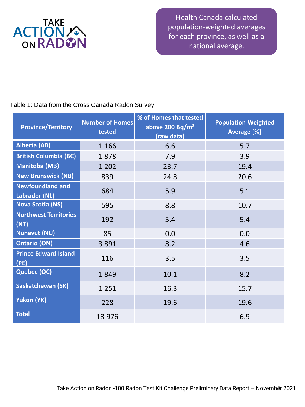

Health Canada calculated population-weighted averages for each province, as well as a national average.

#### Table 1: Data from the Cross Canada Radon Survey

| <b>Province/Territory</b>                | <b>Number of Homes</b><br>tested | % of Homes that tested<br>above 200 Bq/ $m3$<br>(raw data) | <b>Population Weighted</b><br>Average [%] |
|------------------------------------------|----------------------------------|------------------------------------------------------------|-------------------------------------------|
| Alberta (AB)                             | 1 1 6 6                          | 6.6                                                        | 5.7                                       |
| <b>British Columbia (BC)</b>             | 1878                             | 7.9                                                        | 3.9                                       |
| <b>Manitoba (MB)</b>                     | 1 2 0 2                          | 23.7                                                       | 19.4                                      |
| <b>New Brunswick (NB)</b>                | 839                              | 24.8                                                       | 20.6                                      |
| <b>Newfoundland and</b><br>Labrador (NL) | 684                              | 5.9                                                        | 5.1                                       |
| <b>Nova Scotia (NS)</b>                  | 595                              | 8.8                                                        | 10.7                                      |
| <b>Northwest Territories</b><br>(NT)     | 192                              | 5.4                                                        | 5.4                                       |
| <b>Nunavut (NU)</b>                      | 85                               | 0.0                                                        | 0.0                                       |
| <b>Ontario (ON)</b>                      | 3891                             | 8.2                                                        | 4.6                                       |
| <b>Prince Edward Island</b><br>(PE)      | 116                              | 3.5                                                        | 3.5                                       |
| <b>Quebec (QC)</b>                       | 1849                             | 10.1                                                       | 8.2                                       |
| <b>Saskatchewan (SK)</b>                 | 1 2 5 1                          | 16.3                                                       | 15.7                                      |
| Yukon (YK)                               | 228                              | 19.6                                                       | 19.6                                      |
| <b>Total</b>                             | 13 976                           |                                                            | 6.9                                       |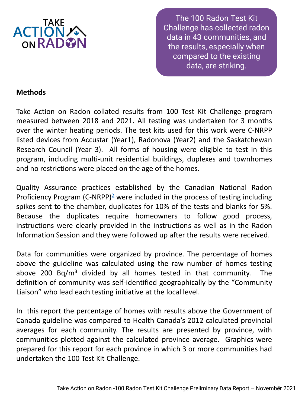

The 100 Radon Test Kit Challenge has collected radon data in 43 communities, and the results, especially when compared to the existing data, are striking.

## **Methods**

Take Action on Radon collated results from 100 Test Kit Challenge program measured between 2018 and 2021. All testing was undertaken for 3 months over the winter heating periods. The test kits used for this work were C-NRPP listed devices from Accustar (Year1), Radonova (Year2) and the Saskatchewan Research Council (Year 3). All forms of housing were eligible to test in this program, including multi-unit residential buildings, duplexes and townhomes and no restrictions were placed on the age of the homes.

Quality Assurance practices established by the Canadian National Radon Proficiency Program (C-NRPP)<sup>[2](#page-18-0)</sup> were included in the process of testing including spikes sent to the chamber, duplicates for 10% of the tests and blanks for 5%. Because the duplicates require homeowners to follow good process, instructions were clearly provided in the instructions as well as in the Radon Information Session and they were followed up after the results were received.

Data for communities were organized by province. The percentage of homes above the guideline was calculated using the raw number of homes testing above 200 Bq/m<sup>3</sup> divided by all homes tested in that community. The definition of community was self-identified geographically by the "Community Liaison" who lead each testing initiative at the local level.

In this report the percentage of homes with results above the Government of Canada guideline was compared to Health Canada's 2012 calculated provincial averages for each community. The results are presented by province, with communities plotted against the calculated province average. Graphics were prepared for this report for each province in which 3 or more communities had undertaken the 100 Test Kit Challenge.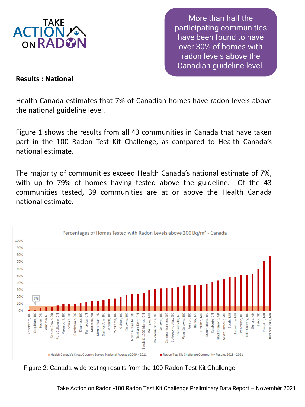

More than half the participating communities have been found to have over 30% of homes with radon levels above the Canadian guideline level.

#### **Results : National**

Health Canada estimates that 7% of Canadian homes have radon levels above the national guideline level.

Figure 1 shows the results from all 43 communities in Canada that have taken part in the 100 Radon Test Kit Challenge, as compared to Health Canada's national estimate.

The majority of communities exceed Health Canada's national estimate of 7%, with up to 79% of homes having tested above the guideline. Of the 43 communities tested, 39 communities are at or above the Health Canada national estimate.



Figure 2: Canada-wide testing results from the 100 Radon Test Kit Challenge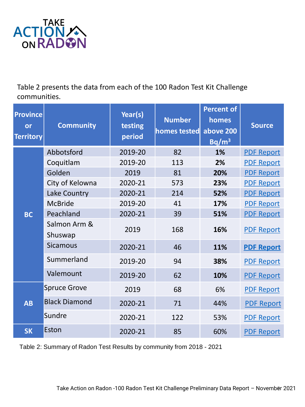

Table 2 presents the data from each of the 100 Radon Test Kit Challenge communities.

| <b>Province</b><br>or<br><b>Territory</b> | <b>Community</b>        | Year(s)<br>testing<br>period | <b>Number</b><br>homes tested | <b>Percent of</b><br>homes<br>above 200<br>Bq/m <sup>3</sup> | <b>Source</b>     |
|-------------------------------------------|-------------------------|------------------------------|-------------------------------|--------------------------------------------------------------|-------------------|
|                                           | Abbotsford              | 2019-20                      | 82                            | 1%                                                           | <b>PDF Report</b> |
|                                           | Coquitlam               | 2019-20                      | 113                           | 2%                                                           | <b>PDF Report</b> |
| <b>BC</b>                                 | Golden                  | 2019                         | 81                            | 20%                                                          | <b>PDF Report</b> |
|                                           | City of Kelowna         | 2020-21                      | 573                           | 23%                                                          | <b>PDF Report</b> |
|                                           | Lake Country            | 2020-21                      | 214                           | 52%                                                          | <b>PDF Report</b> |
|                                           | <b>McBride</b>          | 2019-20                      | 41                            | 17%                                                          | <b>PDF Report</b> |
|                                           | Peachland               | 2020-21                      | 39                            | 51%                                                          | <b>PDF Report</b> |
|                                           | Salmon Arm &<br>Shuswap | 2019                         | 168                           | 16%                                                          | <b>PDF Report</b> |
|                                           | <b>Sicamous</b>         | 2020-21                      | 46                            | 11%                                                          | <b>PDF Report</b> |
|                                           | Summerland              | 2019-20                      | 94                            | 38%                                                          | <b>PDF Report</b> |
|                                           | Valemount               | 2019-20                      | 62                            | 10%                                                          | <b>PDF Report</b> |
| <b>AB</b>                                 | <b>Spruce Grove</b>     | 2019                         | 68                            | 6%                                                           | <b>PDF Report</b> |
|                                           | <b>Black Diamond</b>    | 2020-21                      | 71                            | 44%                                                          | <b>PDF Report</b> |
|                                           | Sundre                  | 2020-21                      | 122                           | 53%                                                          | <b>PDF Report</b> |
| <b>SK</b>                                 | Eston                   | 2020-21                      | 85                            | 60%                                                          | <b>PDF Report</b> |

Table 2: Summary of Radon Test Results by community from 2018 - 2021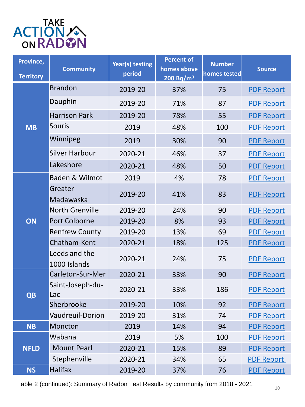

| Province,<br><b>Territory</b> | <b>Community</b>              | Year(s) testing<br>period | <b>Percent of</b><br>homes above<br>200 Bq/m <sup>3</sup> | <b>Number</b><br>homes tested | <b>Source</b>     |
|-------------------------------|-------------------------------|---------------------------|-----------------------------------------------------------|-------------------------------|-------------------|
| <b>MB</b>                     | <b>Brandon</b>                | 2019-20                   | 37%                                                       | 75                            | <b>PDF Report</b> |
|                               | Dauphin                       | 2019-20                   | 71%                                                       | 87                            | <b>PDF Report</b> |
|                               | <b>Harrison Park</b>          | 2019-20                   | 78%                                                       | 55                            | <b>PDF Report</b> |
|                               | <b>Souris</b>                 | 2019                      | 48%                                                       | 100                           | <b>PDF Report</b> |
|                               | Winnipeg                      | 2019                      | 30%                                                       | 90                            | <b>PDF Report</b> |
|                               | <b>Silver Harbour</b>         | 2020-21                   | 46%                                                       | 37                            | <b>PDF Report</b> |
|                               | Lakeshore                     | 2020-21                   | 48%                                                       | 50                            | <b>PDF Report</b> |
|                               | Baden & Wilmot                | 2019                      | 4%                                                        | 78                            | <b>PDF Report</b> |
|                               | Greater<br>Madawaska          | 2019-20                   | 41%                                                       | 83                            | <b>PDF Report</b> |
|                               | <b>North Grenville</b>        | 2019-20                   | 24%                                                       | 90                            | <b>PDF Report</b> |
| ON                            | <b>Port Colborne</b>          | 2019-20                   | 8%                                                        | 93                            | <b>PDF Report</b> |
|                               | <b>Renfrew County</b>         | 2019-20                   | 13%                                                       | 69                            | <b>PDF Report</b> |
|                               | Chatham-Kent                  | 2020-21                   | 18%                                                       | 125                           | <b>PDF Report</b> |
|                               | Leeds and the<br>1000 Islands | 2020-21                   | 24%                                                       | 75                            | <b>PDF Report</b> |
| <b>QB</b>                     | Carleton-Sur-Mer              | 2020-21                   | 33%                                                       | 90                            | <b>PDF Report</b> |
|                               | Saint-Joseph-du-<br>Lac       | 2020-21                   | 33%                                                       | 186                           | <b>PDF Report</b> |
|                               | Sherbrooke                    | 2019-20                   | 10%                                                       | 92                            | <b>PDF Report</b> |
|                               | <b>Vaudreuil-Dorion</b>       | 2019-20                   | 31%                                                       | 74                            | <b>PDF Report</b> |
| <b>NB</b>                     | Moncton                       | 2019                      | 14%                                                       | 94                            | <b>PDF Report</b> |
| <b>NFLD</b>                   | Wabana                        | 2019                      | 5%                                                        | 100                           | <b>PDF Report</b> |
|                               | <b>Mount Pearl</b>            | 2020-21                   | 15%                                                       | 89                            | <b>PDF Report</b> |
|                               | Stephenville                  | 2020-21                   | 34%                                                       | 65                            | <b>PDF Report</b> |
| <b>NS</b>                     | <b>Halifax</b>                | 2019-20                   | 37%                                                       | 76                            | <b>PDF Report</b> |

Table 2 (continued): Summary of Radon Test Results by community from 2018 - 2021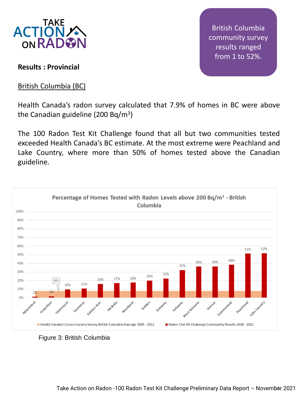

**Results : Provincial**

British Columbia (BC)

British Columbia community survey results ranged from 1 to 52%.

Health Canada's radon survey calculated that 7.9% of homes in BC were above the Canadian guideline (200 Bq/m<sup>3</sup>)

The 100 Radon Test Kit Challenge found that all but two communities tested exceeded Health Canada's BC estimate. At the most extreme were Peachland and Lake Country, where more than 50% of homes tested above the Canadian guideline.



Figure 3: British Columbia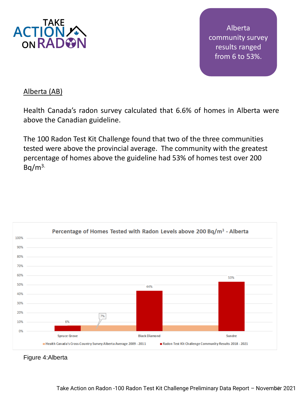

Alberta community survey results ranged from 6 to 53%.

## Alberta (AB)

Health Canada's radon survey calculated that 6.6% of homes in Alberta were above the Canadian guideline.

The 100 Radon Test Kit Challenge found that two of the three communities tested were above the provincial average. The community with the greatest percentage of homes above the guideline had 53% of homes test over 200  $Bq/m<sup>3</sup>$ 



Figure 4:Alberta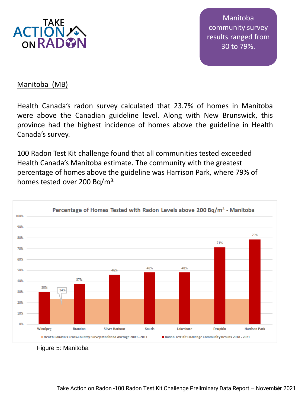

Manitoba community survey results ranged from 30 to 79%.

#### Manitoba (MB)

Health Canada's radon survey calculated that 23.7% of homes in Manitoba were above the Canadian guideline level. Along with New Brunswick, this province had the highest incidence of homes above the guideline in Health Canada's survey.

100 Radon Test Kit challenge found that all communities tested exceeded Health Canada's Manitoba estimate. The community with the greatest percentage of homes above the guideline was Harrison Park, where 79% of homes tested over 200 Bq/m<sup>3.</sup>



Figure 5: Manitoba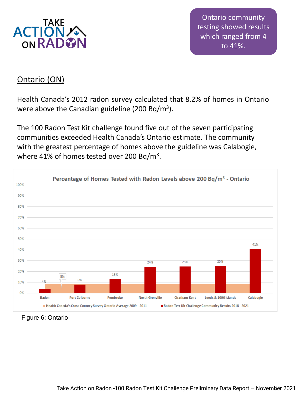

Ontario community testing showed results which ranged from 4 to 41%.

# Ontario (ON)

Health Canada's 2012 radon survey calculated that 8.2% of homes in Ontario were above the Canadian guideline (200 Bq/m<sup>3</sup>).

The 100 Radon Test Kit challenge found five out of the seven participating communities exceeded Health Canada's Ontario estimate. The community with the greatest percentage of homes above the guideline was Calabogie, where 41% of homes tested over 200 Bq/m<sup>3</sup>.



Figure 6: Ontario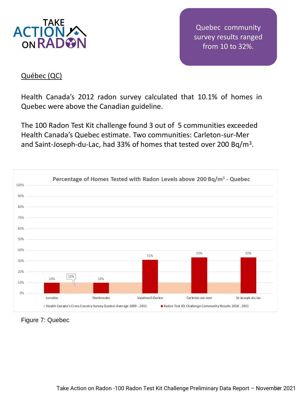

Quebec community survey results ranged from 10 to 32%.

### Québec (QC)

Health Canada's 2012 radon survey calculated that 10.1% of homes in Quebec were above the Canadian guideline.

The 100 Radon Test Kit challenge found 3 out of 5 communities exceeded Health Canada's Quebec estimate. Two communities: Carleton-sur-Mer and Saint-Joseph-du-Lac, had 33% of homes that tested over 200 Bq/m<sup>3</sup>.



Figure 7: Quebec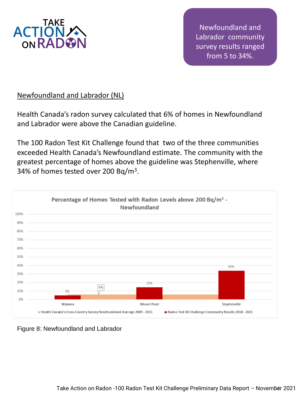

Newfoundland and Labrador community survey results ranged from 5 to 34%.

## Newfoundland and Labrador (NL)

Health Canada's radon survey calculated that 6% of homes in Newfoundland and Labrador were above the Canadian guideline.

The 100 Radon Test Kit Challenge found that two of the three communities exceeded Health Canada's Newfoundland estimate. The community with the greatest percentage of homes above the guideline was Stephenville, where 34% of homes tested over 200 Bq/m<sup>3</sup>.



Figure 8: Newfoundland and Labrador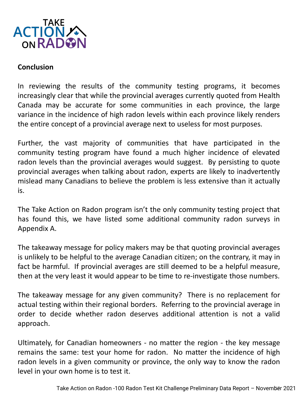

#### **Conclusion**

In reviewing the results of the community testing programs, it becomes increasingly clear that while the provincial averages currently quoted from Health Canada may be accurate for some communities in each province, the large variance in the incidence of high radon levels within each province likely renders the entire concept of a provincial average next to useless for most purposes.

Further, the vast majority of communities that have participated in the community testing program have found a much higher incidence of elevated radon levels than the provincial averages would suggest. By persisting to quote provincial averages when talking about radon, experts are likely to inadvertently mislead many Canadians to believe the problem is less extensive than it actually is.

The Take Action on Radon program isn't the only community testing project that has found this, we have listed some additional community radon surveys in Appendix A.

The takeaway message for policy makers may be that quoting provincial averages is unlikely to be helpful to the average Canadian citizen; on the contrary, it may in fact be harmful. If provincial averages are still deemed to be a helpful measure, then at the very least it would appear to be time to re-investigate those numbers.

The takeaway message for any given community? There is no replacement for actual testing within their regional borders. Referring to the provincial average in order to decide whether radon deserves additional attention is not a valid approach.

Ultimately, for Canadian homeowners - no matter the region - the key message remains the same: test your home for radon. No matter the incidence of high radon levels in a given community or province, the only way to know the radon level in your own home is to test it.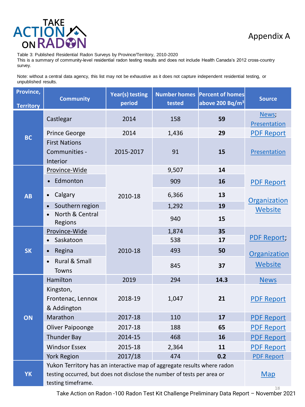

Table 3: Published Residential Radon Surveys by Province/Territory, 2010-2020

This is a summary of community-level residential radon testing results and does not include Health Canada's 2012 cross-country survey.

Note: without a central data agency, this list may not be exhaustive as it does not capture independent residential testing, or unpublished results.

| Province,<br><b>Territory</b> | <b>Community</b>                                                                                                                                                         | Year(s) testing<br>period | <b>Number homes</b><br>tested | <b>Percent of homes</b><br>above 200 Bq/m <sup>3</sup> | <b>Source</b>         |
|-------------------------------|--------------------------------------------------------------------------------------------------------------------------------------------------------------------------|---------------------------|-------------------------------|--------------------------------------------------------|-----------------------|
| <b>BC</b>                     | Castlegar                                                                                                                                                                | 2014                      | 158                           | 59                                                     | News;<br>Presentation |
|                               | Prince George                                                                                                                                                            | 2014                      | 1,436                         | 29                                                     | <b>PDF Report</b>     |
|                               | <b>First Nations</b><br>Communities -<br>Interior                                                                                                                        | 2015-2017                 | 91                            | 15                                                     | Presentation          |
|                               | Province-Wide                                                                                                                                                            |                           | 9,507                         | 14                                                     |                       |
| <b>AB</b>                     | Edmonton<br>$\bullet$                                                                                                                                                    |                           | 909                           | 16                                                     | <b>PDF Report</b>     |
|                               | Calgary<br>$\bullet$                                                                                                                                                     | 2010-18                   | 6,366                         | 13                                                     | Organization          |
|                               | Southern region<br>$\bullet$                                                                                                                                             |                           | 1,292                         | 19                                                     | Website               |
|                               | North & Central<br>Regions                                                                                                                                               |                           | 940                           | 15                                                     |                       |
|                               | Province-Wide                                                                                                                                                            |                           | 1,874                         | 35                                                     |                       |
|                               | Saskatoon                                                                                                                                                                |                           | 538                           | 17                                                     | <b>PDF Report;</b>    |
| <b>SK</b>                     | Regina<br>$\bullet$                                                                                                                                                      | 2010-18                   | 493                           | 50                                                     | <b>Organization</b>   |
|                               | Rural & Small<br>Towns                                                                                                                                                   |                           | 845                           | 37                                                     | Website               |
| ON                            | Hamilton                                                                                                                                                                 | 2019                      | 294                           | 14.3                                                   | <b>News</b>           |
|                               | Kingston,<br>Frontenac, Lennox<br>& Addington                                                                                                                            | 2018-19                   | 1,047                         | 21                                                     | <b>PDF Report</b>     |
|                               | Marathon                                                                                                                                                                 | 2017-18                   | 110                           | 17                                                     | <b>PDF Report</b>     |
|                               | Oliver Paipoonge                                                                                                                                                         | 2017-18                   | 188                           | 65                                                     | <b>PDF Report</b>     |
|                               | <b>Thunder Bay</b>                                                                                                                                                       | 2014-15                   | 468                           | 16                                                     | <b>PDF Report</b>     |
|                               | <b>Windsor Essex</b>                                                                                                                                                     | 2015-18                   | 2,364                         | 11                                                     | <b>PDF Report</b>     |
|                               | <b>York Region</b>                                                                                                                                                       | 2017/18                   | 474                           | 0.2                                                    | <b>PDF Report</b>     |
| <b>YK</b>                     | Yukon Territory has an interactive map of aggregate results where radon<br>testing occurred, but does not disclose the number of tests per area or<br>testing timeframe. |                           |                               | Map                                                    |                       |

18 Take Action on Radon -100 Radon Test Kit Challenge Preliminary Data Report – November 2021